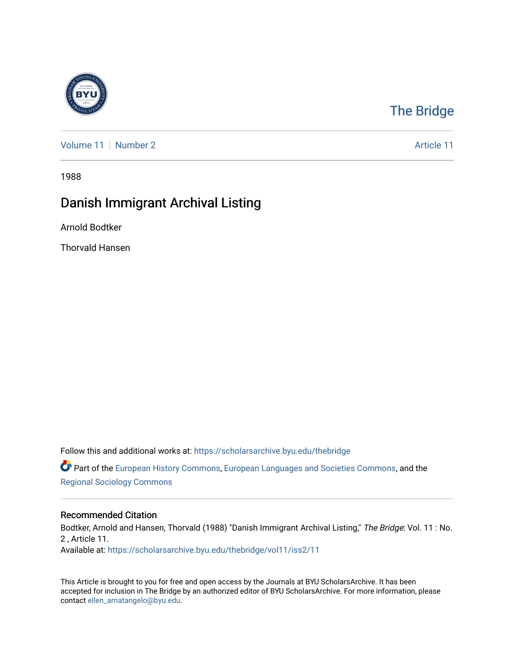

## [The Bridge](https://scholarsarchive.byu.edu/thebridge)

[Volume 11](https://scholarsarchive.byu.edu/thebridge/vol11) [Number 2](https://scholarsarchive.byu.edu/thebridge/vol11/iss2) Article 11

1988

## Danish Immigrant Archival Listing

Arnold Bodtker

Thorvald Hansen

Follow this and additional works at: [https://scholarsarchive.byu.edu/thebridge](https://scholarsarchive.byu.edu/thebridge?utm_source=scholarsarchive.byu.edu%2Fthebridge%2Fvol11%2Fiss2%2F11&utm_medium=PDF&utm_campaign=PDFCoverPages) 

**C** Part of the [European History Commons](http://network.bepress.com/hgg/discipline/492?utm_source=scholarsarchive.byu.edu%2Fthebridge%2Fvol11%2Fiss2%2F11&utm_medium=PDF&utm_campaign=PDFCoverPages), [European Languages and Societies Commons,](http://network.bepress.com/hgg/discipline/482?utm_source=scholarsarchive.byu.edu%2Fthebridge%2Fvol11%2Fiss2%2F11&utm_medium=PDF&utm_campaign=PDFCoverPages) and the [Regional Sociology Commons](http://network.bepress.com/hgg/discipline/427?utm_source=scholarsarchive.byu.edu%2Fthebridge%2Fvol11%2Fiss2%2F11&utm_medium=PDF&utm_campaign=PDFCoverPages) 

#### Recommended Citation

Bodtker, Arnold and Hansen, Thorvald (1988) "Danish Immigrant Archival Listing," The Bridge: Vol. 11 : No. 2 , Article 11. Available at: [https://scholarsarchive.byu.edu/thebridge/vol11/iss2/11](https://scholarsarchive.byu.edu/thebridge/vol11/iss2/11?utm_source=scholarsarchive.byu.edu%2Fthebridge%2Fvol11%2Fiss2%2F11&utm_medium=PDF&utm_campaign=PDFCoverPages)

This Article is brought to you for free and open access by the Journals at BYU ScholarsArchive. It has been accepted for inclusion in The Bridge by an authorized editor of BYU ScholarsArchive. For more information, please contact [ellen\\_amatangelo@byu.edu.](mailto:ellen_amatangelo@byu.edu)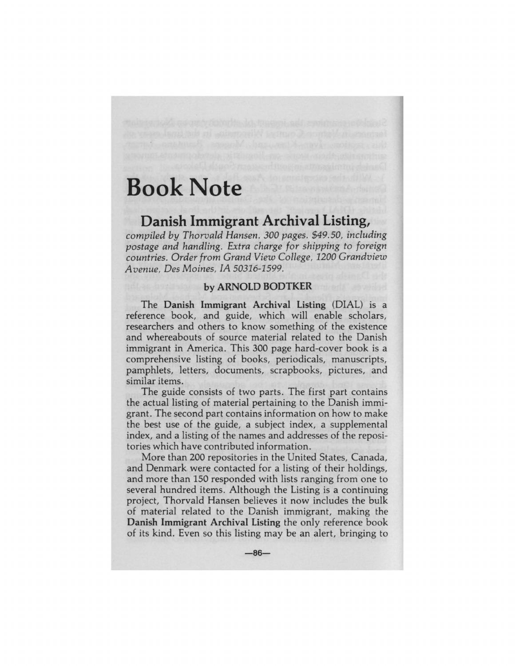# **Book Note**

# **Danish Immigrant Archival Listing,**

*compiled by Thorvald Hansen. 300 pages. \$49. 50, including postage and handling. Extra charge for shipping to foreign countries. Order from Grand View College, 1200 Grandview Avenue, Des Moines, IA 50316-1599.* 

### **by ARNOLD BODTKER**

The **Danish Immigrant Archival Listing** (DIAL) is a reference book, and guide, which will enable scholars, researchers and others to know something of the existence and whereabouts of source material related to the Danish immigrant in America. This 300 page hard-cover book is a comprehensive listing of books, periodicals, manuscripts, pamphlets, letters, documents, scrapbooks, pictures, and similar items.

The guide consists of two parts. The first part contains the actual listing of material pertaining to the Danish immigrant. The second part contains information on how to make the best use of the guide, a subject index, a supplemental index, and a listing of the names and addresses of the repositories which have contributed information.

More than 200 repositories in the United States, Canada, and Denmark were contacted for a listing of their holdings, and more than 150 responded with lists ranging from one to several hundred items. Although the Listing is a continuing project, Thorvald Hansen believes it now includes the bulk of material related to the Danish immigrant, making the **Danish Immigrant Archival Listing** the only reference book of its kind. Even so this listing may be an alert, bringing to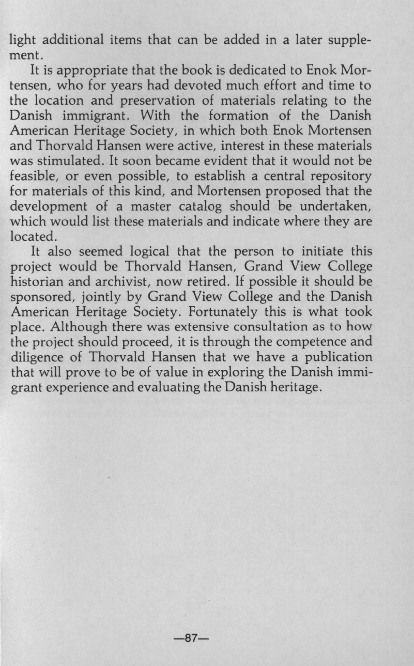light additional items that can be added in a later supplement.

It is appropriate that the book is dedicated to Enok Mortensen, who for years had devoted much effort and time to the location and preservation of materials relating to the Danish immigrant. With the formation of the Danish American Heritage Society, in which both Enok Mortensen and Thorvald Hansen were active, interest in these materials was stimulated. It soon became evident that it would not be feasible, or even possible, to establish a central repository for materials of this kind, and Mortensen proposed that the development of a master catalog should be undertaken, which would list these materials and indicate where they are located.

It also seemed logical that the person to initiate this project would be Thorvald Hansen, Grand View College historian and archivist, now retired. If possible it should be sponsored, jointly by Grand View College and the Danish American Heritage Society. Fortunately this is what took place. Although there was extensive consultation as to how the project should proceed, it is through the competence and diligence of Thorvald Hansen that we have a publication that will prove to be of value in exploring the Danish immigrant experience and evaluating the Danish heritage.